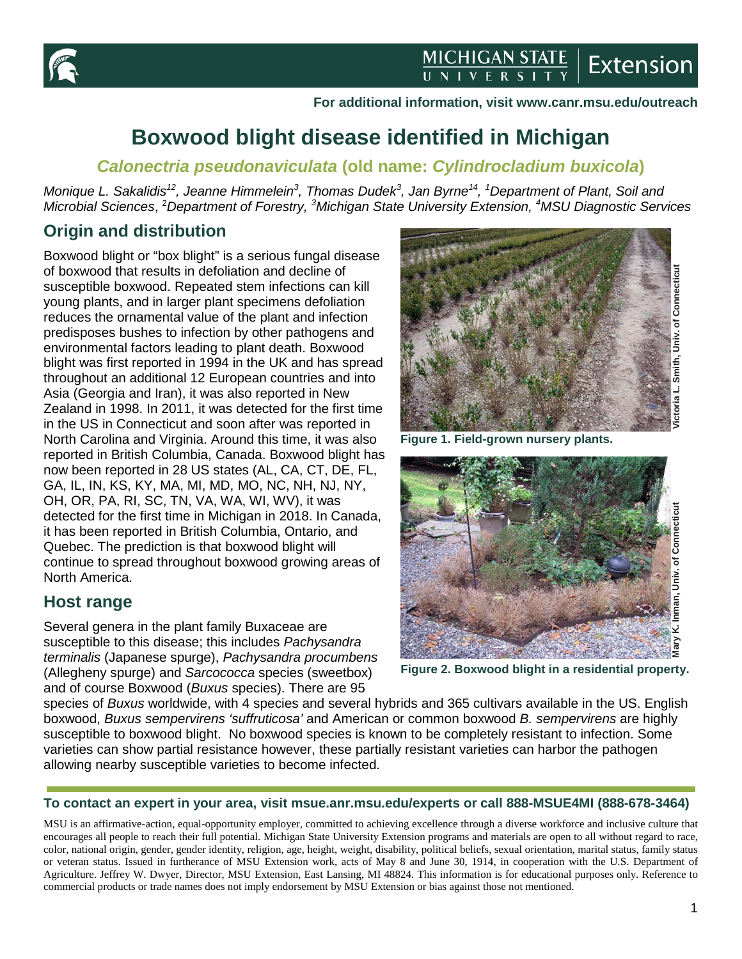

#### **For additional information, visit www.canr.msu.edu/outreach**

# **Boxwood blight disease identified in Michigan**

### *Calonectria pseudonaviculata* **(old name:** *Cylindrocladium buxicola***)**

*Monique L. Sakalidis12, Jeanne Himmelein<sup>3</sup> , Thomas Dudek<sup>3</sup> , Jan Byrne14, <sup>1</sup> Department of Plant, Soil and Microbial Sciences*, 2 *Department of Forestry, <sup>3</sup> Michigan State University Extension, <sup>4</sup> MSU Diagnostic Services*

# **Origin and distribution**

Boxwood blight or "box blight" is a serious fungal disease of boxwood that results in defoliation and decline of susceptible boxwood. Repeated stem infections can kill young plants, and in larger plant specimens defoliation reduces the ornamental value of the plant and infection predisposes bushes to infection by other pathogens and environmental factors leading to plant death. Boxwood blight was first reported in 1994 in the UK and has spread throughout an additional 12 European countries and into Asia (Georgia and Iran), it was also reported in New Zealand in 1998. In 2011, it was detected for the first time in the US in Connecticut and soon after was reported in North Carolina and Virginia. Around this time, it was also reported in British Columbia, Canada. Boxwood blight has now been reported in 28 US states (AL, CA, CT, DE, FL, GA, IL, IN, KS, KY, MA, MI, MD, MO, NC, NH, NJ, NY, OH, OR, PA, RI, SC, TN, VA, WA, WI, WV), it was detected for the first time in Michigan in 2018. In Canada, it has been reported in British Columbia, Ontario, and Quebec. The prediction is that boxwood blight will continue to spread throughout boxwood growing areas of North America.

### **Host range**

Several genera in the plant family Buxaceae are susceptible to this disease; this includes *Pachysandra terminalis* (Japanese spurge), *Pachysandra procumbens*  (Allegheny spurge) and *Sarcococca* species (sweetbox) and of course Boxwood (*Buxus* species). There are 95



**Figure 1. Field-grown nursery plants.**



species of *Buxus* worldwide, with 4 species and several hybrids and 365 cultivars available in the US. English boxwood, *Buxus sempervirens 'suffruticosa'* and American or common boxwood *B. sempervirens* are highly susceptible to boxwood blight. No boxwood species is known to be completely resistant to infection. Some varieties can show partial resistance however, these partially resistant varieties can harbor the pathogen allowing nearby susceptible varieties to become infected.

#### **To contact an expert in your area, visit msue.anr.msu.edu/experts or call 888-MSUE4MI (888-678-3464)**

MSU is an affirmative-action, equal-opportunity employer, committed to achieving excellence through a diverse workforce and inclusive culture that encourages all people to reach their full potential. Michigan State University Extension programs and materials are open to all without regard to race, color, national origin, gender, gender identity, religion, age, height, weight, disability, political beliefs, sexual orientation, marital status, family status or veteran status. Issued in furtherance of MSU Extension work, acts of May 8 and June 30, 1914, in cooperation with the U.S. Department of Agriculture. Jeffrey W. Dwyer, Director, MSU Extension, East Lansing, MI 48824. This information is for educational purposes only. Reference to commercial products or trade names does not imply endorsement by MSU Extension or bias against those not mentioned.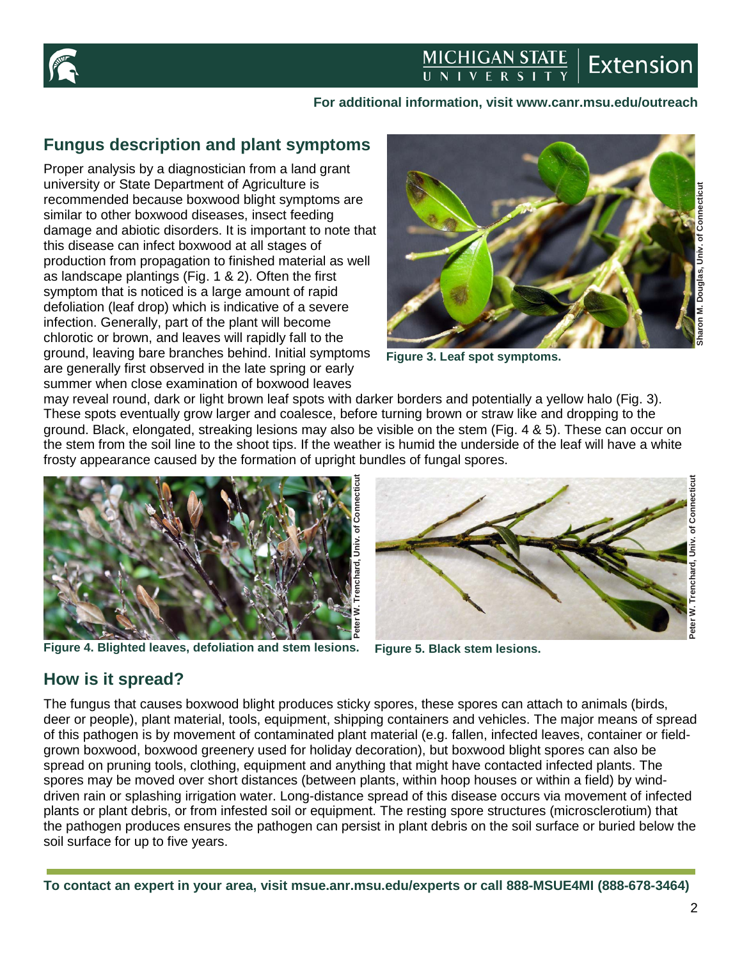

### **MICHIGAN STATE**<br>UNIVERSITY **Extension**

#### **For additional information, visit www.canr.msu.edu/outreach**

# **Fungus description and plant symptoms**

Proper analysis by a diagnostician from a land grant university or State Department of Agriculture is recommended because boxwood blight symptoms are similar to other boxwood diseases, insect feeding damage and abiotic disorders. It is important to note that this disease can infect boxwood at all stages of production from propagation to finished material as well as landscape plantings (Fig. 1 & 2). Often the first symptom that is noticed is a large amount of rapid defoliation (leaf drop) which is indicative of a severe infection. Generally, part of the plant will become chlorotic or brown, and leaves will rapidly fall to the ground, leaving bare branches behind. Initial symptoms are generally first observed in the late spring or early summer when close examination of boxwood leaves



**Figure 3. Leaf spot symptoms.**

may reveal round, dark or light brown leaf spots with darker borders and potentially a yellow halo (Fig. 3). These spots eventually grow larger and coalesce, before turning brown or straw like and dropping to the ground. Black, elongated, streaking lesions may also be visible on the stem (Fig. 4 & 5). These can occur on the stem from the soil line to the shoot tips. If the weather is humid the underside of the leaf will have a white frosty appearance caused by the formation of upright bundles of fungal spores.



**Figure 4. Blighted leaves, defoliation and stem lesions. Figure 5. Black stem lesions.**



# **How is it spread?**

The fungus that causes boxwood blight produces sticky spores, these spores can attach to animals (birds, deer or people), plant material, tools, equipment, shipping containers and vehicles. The major means of spread of this pathogen is by movement of contaminated plant material (e.g. fallen, infected leaves, container or fieldgrown boxwood, boxwood greenery used for holiday decoration), but boxwood blight spores can also be spread on pruning tools, clothing, equipment and anything that might have contacted infected plants. The spores may be moved over short distances (between plants, within hoop houses or within a field) by winddriven rain or splashing irrigation water. Long-distance spread of this disease occurs via movement of infected plants or plant debris, or from infested soil or equipment. The resting spore structures (microsclerotium) that the pathogen produces ensures the pathogen can persist in plant debris on the soil surface or buried below the soil surface for up to five years.